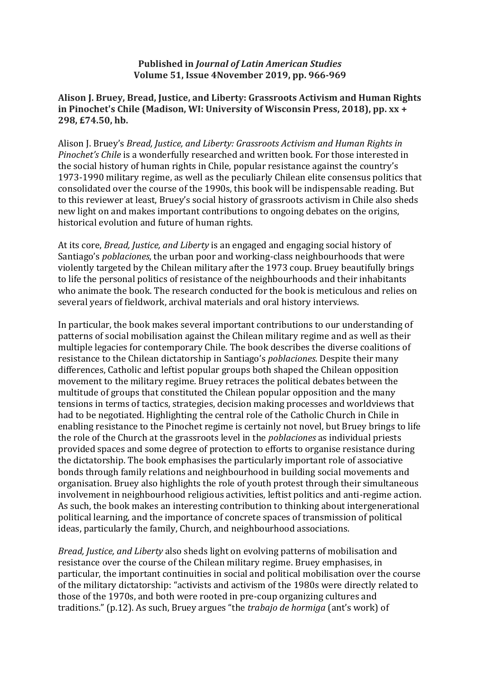## **Published in** *Journal of Latin American Studies* **Volume 51, Issue 4November 2019, pp. 966-969**

## **Alison J. Bruey, Bread, Justice, and Liberty: Grassroots Activism and Human Rights in Pinochet's Chile (Madison, WI: University of Wisconsin Press, 2018), pp. xx + 298, £74.50, hb.**

Alison J. Bruey's *Bread, Justice, and Liberty: Grassroots Activism and Human Rights in Pinochet's Chile* is a wonderfully researched and written book. For those interested in the social history of human rights in Chile, popular resistance against the country's 1973-1990 military regime, as well as the peculiarly Chilean elite consensus politics that consolidated over the course of the 1990s, this book will be indispensable reading. But to this reviewer at least, Bruey's social history of grassroots activism in Chile also sheds new light on and makes important contributions to ongoing debates on the origins, historical evolution and future of human rights.

At its core, *Bread, Justice, and Liberty* is an engaged and engaging social history of Santiago's *poblaciones*, the urban poor and working-class neighbourhoods that were violently targeted by the Chilean military after the 1973 coup. Bruey beautifully brings to life the personal politics of resistance of the neighbourhoods and their inhabitants who animate the book. The research conducted for the book is meticulous and relies on several years of fieldwork, archival materials and oral history interviews.

In particular, the book makes several important contributions to our understanding of patterns of social mobilisation against the Chilean military regime and as well as their multiple legacies for contemporary Chile. The book describes the diverse coalitions of resistance to the Chilean dictatorship in Santiago's *poblaciones*. Despite their many differences, Catholic and leftist popular groups both shaped the Chilean opposition movement to the military regime. Bruey retraces the political debates between the multitude of groups that constituted the Chilean popular opposition and the many tensions in terms of tactics, strategies, decision making processes and worldviews that had to be negotiated. Highlighting the central role of the Catholic Church in Chile in enabling resistance to the Pinochet regime is certainly not novel, but Bruey brings to life the role of the Church at the grassroots level in the *poblaciones* as individual priests provided spaces and some degree of protection to efforts to organise resistance during the dictatorship. The book emphasises the particularly important role of associative bonds through family relations and neighbourhood in building social movements and organisation. Bruey also highlights the role of youth protest through their simultaneous involvement in neighbourhood religious activities, leftist politics and anti-regime action. As such, the book makes an interesting contribution to thinking about intergenerational political learning, and the importance of concrete spaces of transmission of political ideas, particularly the family, Church, and neighbourhood associations.

*Bread, Justice, and Liberty* also sheds light on evolving patterns of mobilisation and resistance over the course of the Chilean military regime. Bruey emphasises, in particular, the important continuities in social and political mobilisation over the course of the military dictatorship: "activists and activism of the 1980s were directly related to those of the 1970s, and both were rooted in pre-coup organizing cultures and traditions." (p.12). As such, Bruey argues "the *trabajo de hormiga* (ant's work) of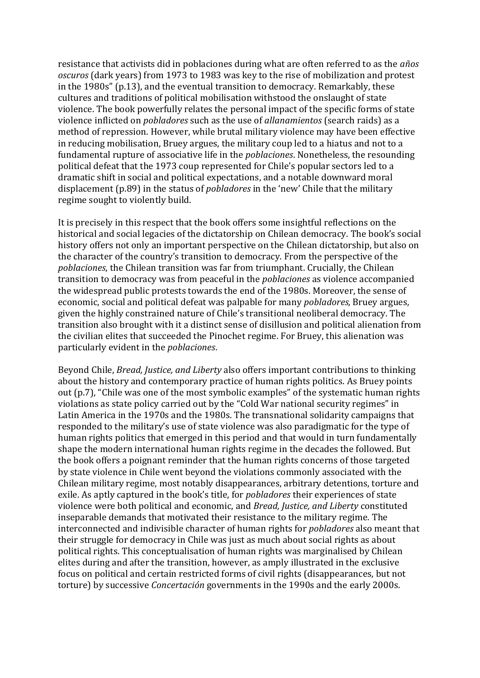resistance that activists did in poblaciones during what are often referred to as the *años oscuros* (dark years) from 1973 to 1983 was key to the rise of mobilization and protest in the 1980s" (p.13), and the eventual transition to democracy. Remarkably, these cultures and traditions of political mobilisation withstood the onslaught of state violence. The book powerfully relates the personal impact of the specific forms of state violence inflicted on *pobladores* such as the use of *allanamientos* (search raids) as a method of repression. However, while brutal military violence may have been effective in reducing mobilisation, Bruey argues, the military coup led to a hiatus and not to a fundamental rupture of associative life in the *poblaciones*. Nonetheless, the resounding political defeat that the 1973 coup represented for Chile's popular sectors led to a dramatic shift in social and political expectations, and a notable downward moral displacement (p.89) in the status of *pobladores* in the 'new' Chile that the military regime sought to violently build.

It is precisely in this respect that the book offers some insightful reflections on the historical and social legacies of the dictatorship on Chilean democracy. The book's social history offers not only an important perspective on the Chilean dictatorship, but also on the character of the country's transition to democracy. From the perspective of the *poblaciones*, the Chilean transition was far from triumphant. Crucially, the Chilean transition to democracy was from peaceful in the *poblaciones* as violence accompanied the widespread public protests towards the end of the 1980s. Moreover, the sense of economic, social and political defeat was palpable for many *pobladores,* Bruey argues, given the highly constrained nature of Chile's transitional neoliberal democracy. The transition also brought with it a distinct sense of disillusion and political alienation from the civilian elites that succeeded the Pinochet regime. For Bruey, this alienation was particularly evident in the *poblaciones*.

Beyond Chile, *Bread, Justice, and Liberty* also offers important contributions to thinking about the history and contemporary practice of human rights politics. As Bruey points out (p.7), "Chile was one of the most symbolic examples" of the systematic human rights violations as state policy carried out by the "Cold War national security regimes" in Latin America in the 1970s and the 1980s. The transnational solidarity campaigns that responded to the military's use of state violence was also paradigmatic for the type of human rights politics that emerged in this period and that would in turn fundamentally shape the modern international human rights regime in the decades the followed. But the book offers a poignant reminder that the human rights concerns of those targeted by state violence in Chile went beyond the violations commonly associated with the Chilean military regime, most notably disappearances, arbitrary detentions, torture and exile. As aptly captured in the book's title, for *pobladores* their experiences of state violence were both political and economic, and *Bread, Justice, and Liberty* constituted inseparable demands that motivated their resistance to the military regime. The interconnected and indivisible character of human rights for *pobladores* also meant that their struggle for democracy in Chile was just as much about social rights as about political rights. This conceptualisation of human rights was marginalised by Chilean elites during and after the transition, however, as amply illustrated in the exclusive focus on political and certain restricted forms of civil rights (disappearances, but not torture) by successive *Concertación* governments in the 1990s and the early 2000s.